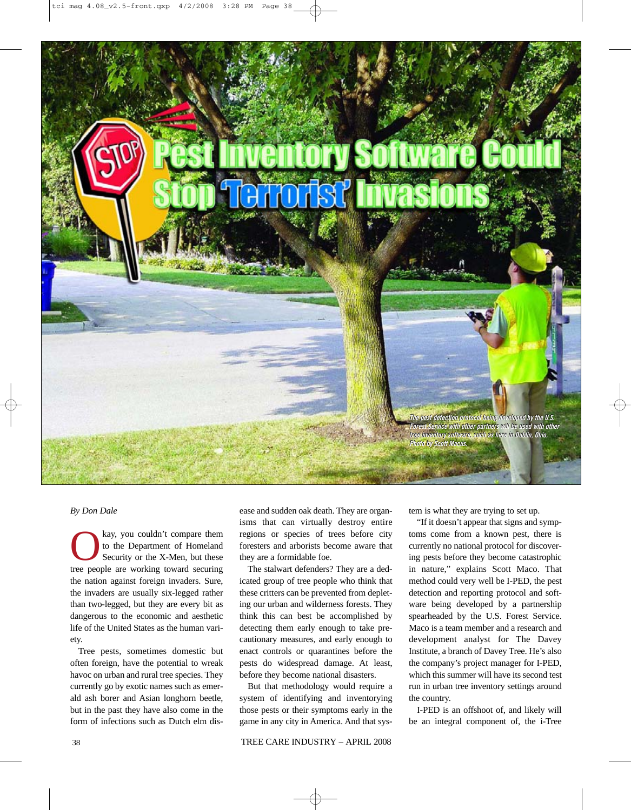**tree inventory Software Court as the Court of Dublin, Ohio.**<br>Stop Terrorist invasions.<br>The Dublin, Ohio.

**The pest detection protocol being developed by the U.S. Forest Service with other partners will be used with other with other will be used with other tree inventory software, such as here in Dublin, Ohio. Photo by Scott Macus.**

## *By Don Dale*

kay, you couldn't compare them<br>to the Department of Homeland<br>Security or the X-Men, but these<br>tree neonle are working toward securing to the Department of Homeland Security or the X-Men, but these tree people are working toward securing the nation against foreign invaders. Sure, the invaders are usually six-legged rather than two-legged, but they are every bit as dangerous to the economic and aesthetic life of the United States as the human variety.

Tree pests, sometimes domestic but often foreign, have the potential to wreak havoc on urban and rural tree species. They currently go by exotic names such as emerald ash borer and Asian longhorn beetle, but in the past they have also come in the form of infections such as Dutch elm disease and sudden oak death. They are organisms that can virtually destroy entire regions or species of trees before city foresters and arborists become aware that they are a formidable foe.

The stalwart defenders? They are a dedicated group of tree people who think that these critters can be prevented from depleting our urban and wilderness forests. They think this can best be accomplished by detecting them early enough to take precautionary measures, and early enough to enact controls or quarantines before the pests do widespread damage. At least, before they become national disasters.

But that methodology would require a system of identifying and inventorying those pests or their symptoms early in the game in any city in America. And that system is what they are trying to set up.

"If it doesn't appear that signs and symptoms come from a known pest, there is currently no national protocol for discovering pests before they become catastrophic in nature," explains Scott Maco. That method could very well be I-PED, the pest detection and reporting protocol and software being developed by a partnership spearheaded by the U.S. Forest Service. Maco is a team member and a research and development analyst for The Davey Institute, a branch of Davey Tree. He's also the company's project manager for I-PED, which this summer will have its second test run in urban tree inventory settings around the country.

I-PED is an offshoot of, and likely will be an integral component of, the i-Tree

38 TREE CARE INDUSTRY – APRIL 2008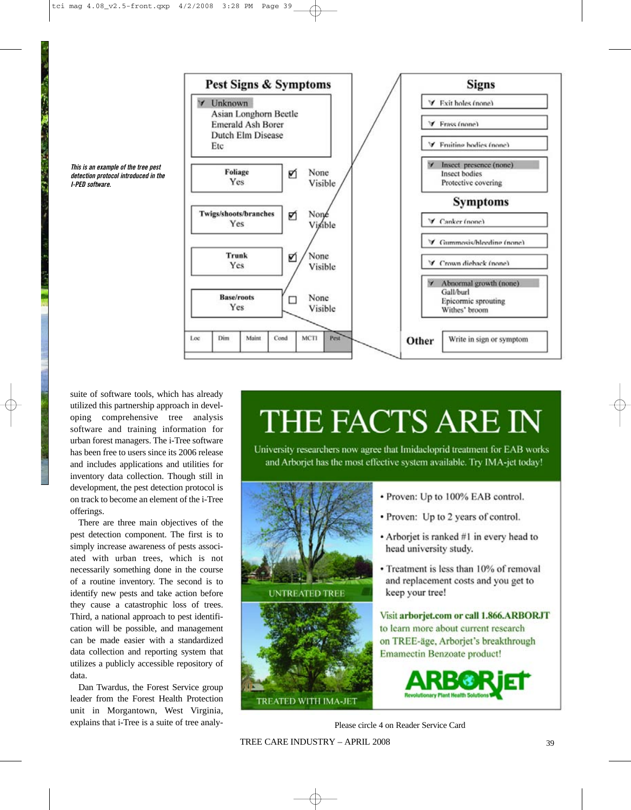



suite of software tools, which has already utilized this partnership approach in developing comprehensive tree analysis software and training information for urban forest managers. The i-Tree software has been free to users since its 2006 release and includes applications and utilities for inventory data collection. Though still in development, the pest detection protocol is on track to become an element of the i-Tree offerings.

There are three main objectives of the pest detection component. The first is to simply increase awareness of pests associated with urban trees, which is not necessarily something done in the course of a routine inventory. The second is to identify new pests and take action before they cause a catastrophic loss of trees. Third, a national approach to pest identification will be possible, and management can be made easier with a standardized data collection and reporting system that utilizes a publicly accessible repository of data.

Dan Twardus, the Forest Service group leader from the Forest Health Protection unit in Morgantown, West Virginia, explains that i-Tree is a suite of tree analy-

## THE FACTS ARE IN

University researchers now agree that Imidacloprid treatment for EAB works and Arborjet has the most effective system available. Try IMA-jet today!



Please circle 4 on Reader Service Card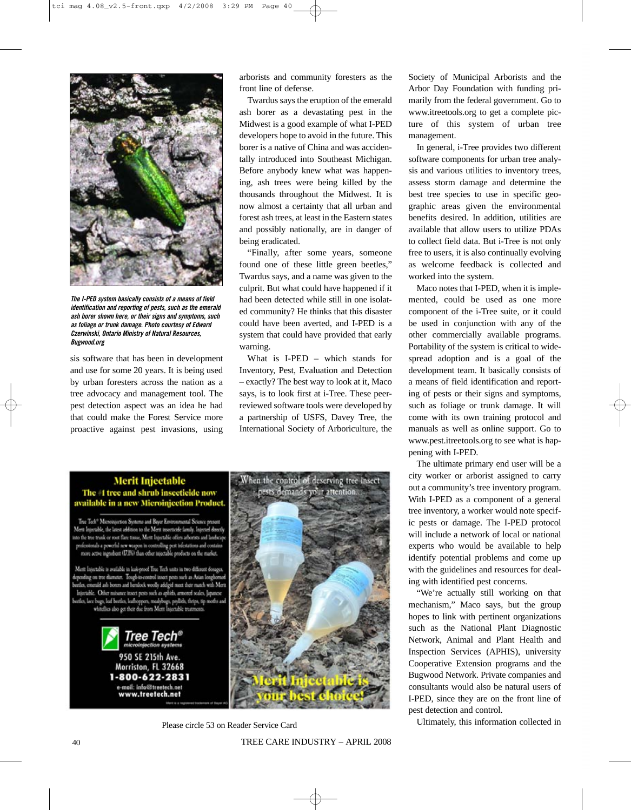

**The I-PED system basically consists of a means of field identification and reporting of pests, such as the emerald ash borer shown here, or their signs and symptoms, such as foliage or trunk damage. Photo courtesy of Edward Czerwinski, Ontario Ministry of Natural Resources, Bugwood.org**

sis software that has been in development and use for some 20 years. It is being used by urban foresters across the nation as a tree advocacy and management tool. The pest detection aspect was an idea he had that could make the Forest Service more proactive against pest invasions, using arborists and community foresters as the front line of defense.

Twardus says the eruption of the emerald ash borer as a devastating pest in the Midwest is a good example of what I-PED developers hope to avoid in the future. This borer is a native of China and was accidentally introduced into Southeast Michigan. Before anybody knew what was happening, ash trees were being killed by the thousands throughout the Midwest. It is now almost a certainty that all urban and forest ash trees, at least in the Eastern states and possibly nationally, are in danger of being eradicated.

"Finally, after some years, someone found one of these little green beetles," Twardus says, and a name was given to the culprit. But what could have happened if it had been detected while still in one isolated community? He thinks that this disaster could have been averted, and I-PED is a system that could have provided that early warning.

What is I-PED – which stands for Inventory, Pest, Evaluation and Detection – exactly? The best way to look at it, Maco says, is to look first at i-Tree. These peerreviewed software tools were developed by a partnership of USFS, Davey Tree, the International Society of Arboriculture, the

**Merit Injectable** The #1 tree and shrub insecticide now available in a new Microinjection Product.

Tree Tech<sup>®</sup> Microtogection Systems and Bayer Environmental Science present Ment Injectable, the latest addition to the Merit insecticide family. Injected directly into the tree trunk or root flare tissue, Merit Injectable offers arborists and landscap professionals a powerful new weapon in controlling pest infestations and contai more active ingredient (IZBi) than other injectable products on the market.

Ment Injectable is available in leak-proof Tree Tech units in two different dosages. depending on tree diameter. Tough-to-control insect pests such as Asian longhorned<br>beedes, emerald ash borers and herulock woolly addged meet their match with Meri<br>Injectable. Other misance insect pests such as aphids, arm bestles, lace bugs, leaf bestles, leafhoppers, mealybogs, psyllids, thrips, tip moths<br>whitellies also get their due from Merit Injectable treatments.





Please circle 53 on Reader Service Card

Society of Municipal Arborists and the Arbor Day Foundation with funding primarily from the federal government. Go to www.itreetools.org to get a complete picture of this system of urban tree management.

In general, i-Tree provides two different software components for urban tree analysis and various utilities to inventory trees, assess storm damage and determine the best tree species to use in specific geographic areas given the environmental benefits desired. In addition, utilities are available that allow users to utilize PDAs to collect field data. But i-Tree is not only free to users, it is also continually evolving as welcome feedback is collected and worked into the system.

Maco notes that I-PED, when it is implemented, could be used as one more component of the i-Tree suite, or it could be used in conjunction with any of the other commercially available programs. Portability of the system is critical to widespread adoption and is a goal of the development team. It basically consists of a means of field identification and reporting of pests or their signs and symptoms, such as foliage or trunk damage. It will come with its own training protocol and manuals as well as online support. Go to www.pest.itreetools.org to see what is happening with I-PED.

The ultimate primary end user will be a city worker or arborist assigned to carry out a community's tree inventory program. With I-PED as a component of a general tree inventory, a worker would note specific pests or damage. The I-PED protocol will include a network of local or national experts who would be available to help identify potential problems and come up with the guidelines and resources for dealing with identified pest concerns.

"We're actually still working on that mechanism," Maco says, but the group hopes to link with pertinent organizations such as the National Plant Diagnostic Network, Animal and Plant Health and Inspection Services (APHIS), university Cooperative Extension programs and the Bugwood Network. Private companies and consultants would also be natural users of I-PED, since they are on the front line of pest detection and control.

Ultimately, this information collected in